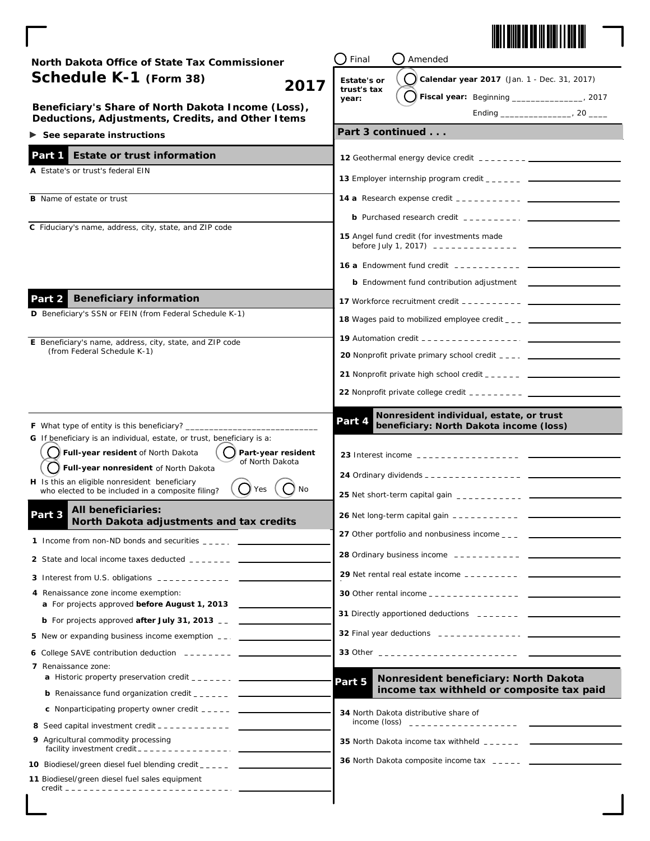

| North Dakota Office of State Tax Commissioner                                                                       | Final<br>Amended                                                                                                                |                                                                                                                                                                                                                                                                                                                 |  |
|---------------------------------------------------------------------------------------------------------------------|---------------------------------------------------------------------------------------------------------------------------------|-----------------------------------------------------------------------------------------------------------------------------------------------------------------------------------------------------------------------------------------------------------------------------------------------------------------|--|
| Schedule K-1 (Form 38)<br>2017                                                                                      | Estate's or                                                                                                                     | Calendar year 2017 (Jan. 1 - Dec. 31, 2017)                                                                                                                                                                                                                                                                     |  |
|                                                                                                                     | trust's tax<br>year:                                                                                                            | Fiscal year: Beginning _______________, 2017                                                                                                                                                                                                                                                                    |  |
| Beneficiary's Share of North Dakota Income (Loss),<br>Deductions, Adjustments, Credits, and Other Items             |                                                                                                                                 |                                                                                                                                                                                                                                                                                                                 |  |
| $\triangleright$ See separate instructions                                                                          |                                                                                                                                 | Part 3 continued                                                                                                                                                                                                                                                                                                |  |
| <b>Estate or trust information</b><br>Part 1                                                                        |                                                                                                                                 |                                                                                                                                                                                                                                                                                                                 |  |
| A Estate's or trust's federal EIN                                                                                   |                                                                                                                                 |                                                                                                                                                                                                                                                                                                                 |  |
|                                                                                                                     |                                                                                                                                 |                                                                                                                                                                                                                                                                                                                 |  |
| <b>B</b> Name of estate or trust                                                                                    |                                                                                                                                 |                                                                                                                                                                                                                                                                                                                 |  |
| C Fiduciary's name, address, city, state, and ZIP code                                                              |                                                                                                                                 | <b>b</b> Purchased research credit $\frac{1}{2}$ = $\frac{1}{2}$ = $\frac{1}{2}$ = $\frac{1}{2}$ = $\frac{1}{2}$                                                                                                                                                                                                |  |
|                                                                                                                     |                                                                                                                                 | 15 Angel fund credit (for investments made                                                                                                                                                                                                                                                                      |  |
|                                                                                                                     | <b>16 a</b> Endowment fund credit $\frac{1}{2}$ = $\frac{1}{2}$ = $\frac{1}{2}$ = $\frac{1}{2}$ = $\frac{1}{2}$ = $\frac{1}{2}$ |                                                                                                                                                                                                                                                                                                                 |  |
|                                                                                                                     |                                                                                                                                 |                                                                                                                                                                                                                                                                                                                 |  |
| <b>Beneficiary information</b><br>Part 2                                                                            |                                                                                                                                 | <b>17</b> Workforce recruitment credit $\frac{1}{2}$ $\frac{1}{2}$ $\frac{1}{2}$ $\frac{1}{2}$ $\frac{1}{2}$ $\frac{1}{2}$ $\frac{1}{2}$ $\frac{1}{2}$ $\frac{1}{2}$ $\frac{1}{2}$ $\frac{1}{2}$ $\frac{1}{2}$ $\frac{1}{2}$ $\frac{1}{2}$ $\frac{1}{2}$ $\frac{1}{2}$ $\frac{1}{2}$ $\frac{1}{2}$ $\frac{1}{2$ |  |
| D Beneficiary's SSN or FEIN (from Federal Schedule K-1)                                                             |                                                                                                                                 | <b>18</b> Wages paid to mobilized employee credit $\frac{1}{2}$ $\frac{1}{2}$                                                                                                                                                                                                                                   |  |
| E Beneficiary's name, address, city, state, and ZIP code                                                            |                                                                                                                                 |                                                                                                                                                                                                                                                                                                                 |  |
| (from Federal Schedule K-1)                                                                                         |                                                                                                                                 |                                                                                                                                                                                                                                                                                                                 |  |
|                                                                                                                     |                                                                                                                                 |                                                                                                                                                                                                                                                                                                                 |  |
|                                                                                                                     |                                                                                                                                 |                                                                                                                                                                                                                                                                                                                 |  |
|                                                                                                                     |                                                                                                                                 |                                                                                                                                                                                                                                                                                                                 |  |
| <b>F</b> What type of entity is this beneficiary? ______                                                            | Part 4                                                                                                                          | Nonresident individual, estate, or trust<br>beneficiary: North Dakota income (loss)                                                                                                                                                                                                                             |  |
| G If beneficiary is an individual, estate, or trust, beneficiary is a:                                              |                                                                                                                                 |                                                                                                                                                                                                                                                                                                                 |  |
| Full-year resident of North Dakota<br>Part-year resident<br>of North Dakota                                         |                                                                                                                                 |                                                                                                                                                                                                                                                                                                                 |  |
| Full-year nonresident of North Dakota<br>H Is this an eligible nonresident beneficiary                              |                                                                                                                                 |                                                                                                                                                                                                                                                                                                                 |  |
| No<br>()Yes<br>who elected to be included in a composite filing?                                                    |                                                                                                                                 |                                                                                                                                                                                                                                                                                                                 |  |
| <b>All beneficiaries:</b><br>Part 3<br>North Dakota adjustments and tax credits                                     |                                                                                                                                 |                                                                                                                                                                                                                                                                                                                 |  |
| 1 Income from non-ND bonds and securities $\frac{1}{2}$ = $\frac{1}{2}$ = $\frac{1}{2}$                             |                                                                                                                                 | 27 Other portfolio and nonbusiness income _ _ _                                                                                                                                                                                                                                                                 |  |
| 2 State and local income taxes deducted $2 - 2 - 2 = 2$                                                             |                                                                                                                                 |                                                                                                                                                                                                                                                                                                                 |  |
|                                                                                                                     |                                                                                                                                 | 29 Net rental real estate income $\frac{1}{2}$ = $\frac{1}{2}$ = $\frac{1}{2}$ = $\frac{1}{2}$ = $\frac{1}{2}$ = $\frac{1}{2}$ = $\frac{1}{2}$ = $\frac{1}{2}$ = $\frac{1}{2}$ = $\frac{1}{2}$ = $\frac{1}{2}$ = $\frac{1}{2}$ = $\frac{1}{2}$ = $\frac{1}{2}$ = $\frac{1}{2}$ = $\frac{1}{2}$                  |  |
| 4 Renaissance zone income exemption:                                                                                |                                                                                                                                 |                                                                                                                                                                                                                                                                                                                 |  |
| a For projects approved before August 1, 2013                                                                       |                                                                                                                                 | 31 Directly apportioned deductions _______ __ __________                                                                                                                                                                                                                                                        |  |
| <b>b</b> For projects approved <b>after July 31, 2013</b> $\overline{\phantom{a}}$                                  |                                                                                                                                 |                                                                                                                                                                                                                                                                                                                 |  |
| 5 New or expanding business income exemption __.                                                                    |                                                                                                                                 |                                                                                                                                                                                                                                                                                                                 |  |
| 6 College SAVE contribution deduction $---$<br>7 Renaissance zone:                                                  |                                                                                                                                 | 33 Other ___________________________                                                                                                                                                                                                                                                                            |  |
|                                                                                                                     | Part 5                                                                                                                          | Nonresident beneficiary: North Dakota                                                                                                                                                                                                                                                                           |  |
| <b>b</b> Renaissance fund organization credit $\frac{1}{2}$ $\frac{1}{2}$ $\frac{1}{2}$ $\frac{1}{2}$ $\frac{1}{2}$ |                                                                                                                                 | income tax withheld or composite tax paid                                                                                                                                                                                                                                                                       |  |
|                                                                                                                     |                                                                                                                                 | 34 North Dakota distributive share of                                                                                                                                                                                                                                                                           |  |
|                                                                                                                     |                                                                                                                                 |                                                                                                                                                                                                                                                                                                                 |  |
| 9 Agricultural commodity processing                                                                                 |                                                                                                                                 | 35 North Dakota income tax withheld $-- ---$                                                                                                                                                                                                                                                                    |  |
| 10 Biodiesel/green diesel fuel blending credit _____ ___________________________                                    |                                                                                                                                 |                                                                                                                                                                                                                                                                                                                 |  |
| 11 Biodiesel/green diesel fuel sales equipment                                                                      |                                                                                                                                 |                                                                                                                                                                                                                                                                                                                 |  |
|                                                                                                                     |                                                                                                                                 |                                                                                                                                                                                                                                                                                                                 |  |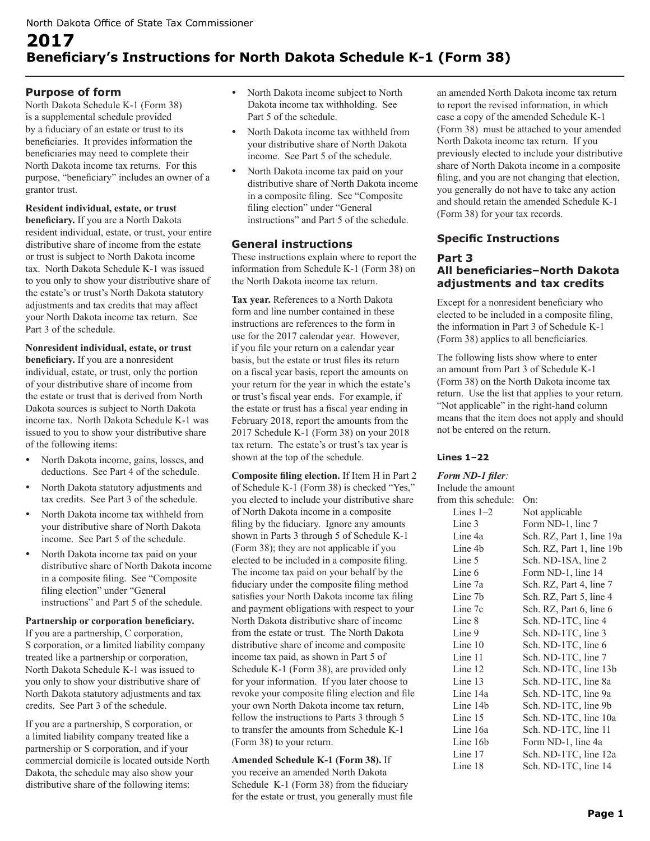# **2017 Beneficiary's Instructions for North Dakota Schedule K-1 (Form 38)**

## **Purpose of form**

North Dakota Schedule K-1 (Form 38) is a supplemental schedule provided by a fiduciary of an estate or trust to its beneficiaries. It provides information the beneficiaries may need to complete their North Dakota income tax returns. For this purpose, "beneficiary" includes an owner of a grantor trust.

## **Resident individual, estate, or trust**

**beneficiary.** If you are a North Dakota resident individual, estate, or trust, your entire distributive share of income from the estate or trust is subject to North Dakota income tax. North Dakota Schedule K-1 was issued to you only to show your distributive share of the estate's or trust's North Dakota statutory adjustments and tax credits that may affect your North Dakota income tax return. See Part 3 of the schedule.

**Nonresident individual, estate, or trust beneficiary.** If you are a nonresident individual, estate, or trust, only the portion of your distributive share of income from the estate or trust that is derived from North Dakota sources is subject to North Dakota income tax. North Dakota Schedule K-1 was issued to you to show your distributive share of the following items:

- North Dakota income, gains, losses, and deductions. See Part 4 of the schedule.
- North Dakota statutory adjustments and tax credits. See Part 3 of the schedule.
- North Dakota income tax withheld from your distributive share of North Dakota income. See Part 5 of the schedule.
- North Dakota income tax paid on your distributive share of North Dakota income in a composite filing. See "Composite filing election" under "General instructions" and Part 5 of the schedule.

#### **Partnership or corporation beneficiary.**

If you are a partnership, C corporation, S corporation, or a limited liability company treated like a partnership or corporation, North Dakota Schedule K-1 was issued to you only to show your distributive share of North Dakota statutory adjustments and tax credits. See Part 3 of the schedule.

If you are a partnership, S corporation, or a limited liability company treated like a partnership or S corporation, and if your commercial domicile is located outside North Dakota, the schedule may also show your distributive share of the following items:

- North Dakota income subject to North Dakota income tax withholding. See Part 5 of the schedule.
- North Dakota income tax withheld from your distributive share of North Dakota income. See Part 5 of the schedule.
- North Dakota income tax paid on your distributive share of North Dakota income in a composite filing. See "Composite filing election" under "General instructions" and Part 5 of the schedule.

## **General instructions**

These instructions explain where to report the information from Schedule K-1 (Form 38) on the North Dakota income tax return.

**Tax year.** References to a North Dakota form and line number contained in these instructions are references to the form in use for the 2017 calendar year. However, if you file your return on a calendar year basis, but the estate or trust files its return on a fiscal year basis, report the amounts on your return for the year in which the estate's or trust's fiscal year ends. For example, if the estate or trust has a fiscal year ending in February 2018, report the amounts from the 2017 Schedule K-1 (Form 38) on your 2018 tax return. The estate's or trust's tax year is shown at the top of the schedule.

**Composite filing election.** If Item H in Part 2 of Schedule K-1 (Form 38) is checked "Yes," you elected to include your distributive share of North Dakota income in a composite filing by the fiduciary. Ignore any amounts shown in Parts 3 through 5 of Schedule K-1 (Form 38); they are not applicable if you elected to be included in a composite filing. The income tax paid on your behalf by the fiduciary under the composite filing method satisfies your North Dakota income tax filing and payment obligations with respect to your North Dakota distributive share of income from the estate or trust. The North Dakota distributive share of income and composite income tax paid, as shown in Part 5 of Schedule K-1 (Form 38), are provided only for your information. If you later choose to revoke your composite filing election and file your own North Dakota income tax return, follow the instructions to Parts 3 through 5 to transfer the amounts from Schedule K-1 (Form 38) to your return.

**Amended Schedule K-1 (Form 38).** If you receive an amended North Dakota Schedule K-1 (Form 38) from the fiduciary for the estate or trust, you generally must file an amended North Dakota income tax return to report the revised information, in which case a copy of the amended Schedule K-1 (Form 38) must be attached to your amended North Dakota income tax return. If you previously elected to include your distributive share of North Dakota income in a composite filing, and you are not changing that election, you generally do not have to take any action and should retain the amended Schedule K-1 (Form 38) for your tax records.

## **Specific Instructions**

## **Part 3 All beneficiaries–North Dakota adjustments and tax credits**

Except for a nonresident beneficiary who elected to be included in a composite filing, the information in Part 3 of Schedule K-1 (Form 38) applies to all beneficiaries.

The following lists show where to enter an amount from Part 3 of Schedule K-1 (Form 38) on the North Dakota income tax return. Use the list that applies to your return. "Not applicable" in the right-hand column means that the item does not apply and should not be entered on the return.

## **Lines 1–22**

## *Form ND-1 filer:*

| Include the amount  |                           |
|---------------------|---------------------------|
| from this schedule: | On:                       |
| Lines $1-2$         | Not applicable            |
| Line 3              | Form ND-1, line 7         |
| Line 4a             | Sch. RZ, Part 1, line 19a |
| Line 4b             | Sch. RZ, Part 1, line 19b |
| Line 5              | Sch. ND-1SA, line 2       |
| Line 6              | Form ND-1, line 14        |
| Line 7a             | Sch. RZ, Part 4, line 7   |
| Line 7b             | Sch. RZ, Part 5, line 4   |
| Line 7c             | Sch. RZ, Part 6, line 6   |
| Line 8              | Sch. ND-1TC, line 4       |
| Line 9              | Sch. ND-1TC, line 3       |
| Line 10             | Sch. ND-1TC, line 6       |
| Line 11             | Sch. ND-1TC, line 7       |
| Line 12             | Sch. ND-1TC, line 13b     |
| Line 13             | Sch. ND-1TC, line 8a      |
| Line 14a            | Sch. ND-1TC, line 9a      |
| Line 14b            | Sch. ND-1TC, line 9b      |
| Line 15             | Sch. ND-1TC, line 10a     |
| Line 16a            | Sch. ND-1TC, line 11      |
| Line 16b            | Form ND-1, line 4a        |
| Line 17             | Sch. ND-1TC, line 12a     |
| Line 18             | Sch. ND-1TC, line 14      |